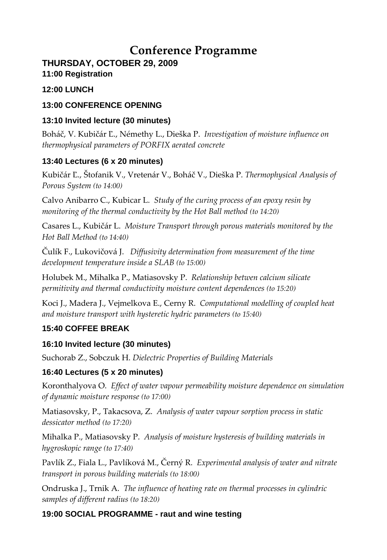# **Conference Programme**

# **THURSDAY, OCTOBER 29, 2009**

# **11:00 Registration**

#### **12:00 LUNCH**

## **13:00 CONFERENCE OPENING**

## **13:10 Invited lecture (30 minutes)**

Boháč, V. Kubičár Ľ., Némethy L., Dieška P. *Investigation of moisture influence on thermophysical parameters of PORFIX aerated concrete*

## **13:40 Lectures (6 x 20 minutes)**

Kubičár Ľ., Štofanik V., Vretenár V., Boháč V., Dieška P. *Thermophysical Analysis of Porous System (to 14:00)*

Calvo Anibarro C., Kubicar L. *Study of the curing process of an epoxy resin by monitoring of the thermal conductivity by the Hot Ball method (to 14:20)*

Casares L., Kubičár L. *Moisture Transport through porous materials monitored by the Hot Ball Method (to 14:40)*

Čulík F., Lukovičová J. *Diffusivity determination from measurement of the time development temperature inside a SLAB (to 15:00)*

Holubek M., Mihalka P., Matiasovsky P. *Relationship betwen calcium silicate permitivity and thermal conductivity moisture content dependences (to 15:20)*

Koci J., Madera J., Vejmelkova E., Cerny R. *Computational modelling of coupled heat and moisture transport with hysteretic hydric parameters (to 15:40)*

# **15:40 COFFEE BREAK**

# **16:10 Invited lecture (30 minutes)**

Suchorab Z., Sobczuk H. *Dielectric Properties of Building Materials*

# **16:40 Lectures (5 x 20 minutes)**

Koronthalyova O. *Effect of water vapour permeability moisture dependence on simulation of dynamic moisture response (to 17:00)*

Matiasovsky, P., Takacsova, Z. *Analysis of water vapour sorption process in static dessicator method (to 17:20)*

Mihalka P., Matiasovsky P. *Analysis of moisture hysteresis of building materials in hygroskopic range (to 17:40)*

Pavlík Z., Fiala L., Pavlíková M., Černý R. *Experimental analysis of water and nitrate transport in porous building materials (to 18:00)*

Ondruska J., Trnik A. *The influence of heating rate on thermal processes in cylindric samples of different radius (to 18:20)*

# **19:00 SOCIAL PROGRAMME - raut and wine testing**